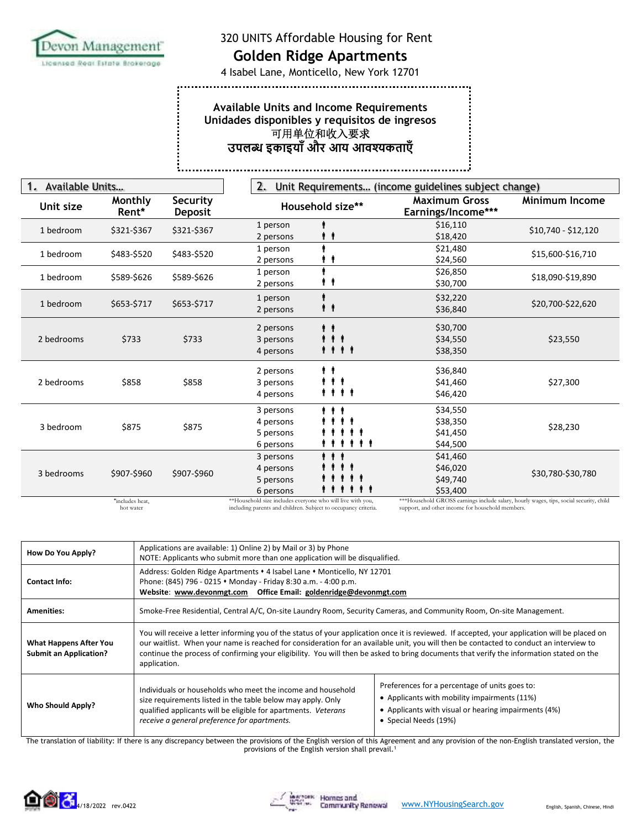

................

# Evon Management 320 UNITS Affordable Housing for Rent

..................................

4 Isabel Lane, Monticello, New York 12701

### **Available Units and Income Requirements Unidades disponibles y requisitos de ingresos**  可用单位和收入要求 **उपल इकाइयाँऔर आय आवकताएँ**

i....... 

| <b>Available Units</b> |                  |                            | 2.<br>Unit Requirements (income guidelines subject change) |                                                                  |                                                                                        |                       |
|------------------------|------------------|----------------------------|------------------------------------------------------------|------------------------------------------------------------------|----------------------------------------------------------------------------------------|-----------------------|
| Unit size              | Monthly<br>Rent* | Security<br><b>Deposit</b> |                                                            | Household size**                                                 | <b>Maximum Gross</b><br>Earnings/Income***                                             | <b>Minimum Income</b> |
| 1 bedroom              | \$321-\$367      | \$321-\$367                | 1 person                                                   |                                                                  | \$16,110                                                                               | \$10,740 - \$12,120   |
|                        |                  |                            | 2 persons                                                  | Ϋ.                                                               | \$18,420                                                                               |                       |
| 1 bedroom              | \$483-\$520      | \$483-\$520                | 1 person                                                   |                                                                  | \$21,480                                                                               | \$15,600-\$16,710     |
|                        |                  |                            | 2 persons                                                  |                                                                  | \$24,560                                                                               |                       |
| 1 bedroom              | \$589-\$626      | \$589-\$626                | 1 person                                                   |                                                                  | \$26,850                                                                               | \$18,090-\$19,890     |
|                        |                  |                            | 2 persons                                                  | Ϋ.                                                               | \$30,700                                                                               |                       |
|                        | \$653-\$717      | \$653-\$717                | 1 person                                                   |                                                                  | \$32,220                                                                               | \$20,700-\$22,620     |
| 1 bedroom              |                  |                            | 2 persons                                                  | $\pmb{\ast}$                                                     | \$36,840                                                                               |                       |
|                        |                  |                            | 2 persons                                                  | ŧŧ                                                               | \$30,700                                                                               |                       |
| 2 bedrooms             | \$733            | \$733                      | 3 persons                                                  | $\begin{array}{ccccc}\bullet&\bullet&\bullet&\bullet\end{array}$ | \$34,550                                                                               | \$23,550              |
|                        |                  |                            | 4 persons                                                  | <b>.</b>                                                         | \$38,350                                                                               |                       |
|                        |                  |                            | 2 persons                                                  | . .                                                              | \$36,840                                                                               |                       |
| 2 bedrooms             | \$858            | \$858                      | 3 persons                                                  | .                                                                | \$41,460                                                                               | \$27,300              |
|                        |                  |                            | 4 persons                                                  | .                                                                | \$46,420                                                                               |                       |
|                        |                  |                            | 3 persons                                                  | .                                                                | \$34,550                                                                               |                       |
| 3 bedroom              | \$875            | \$875                      | 4 persons                                                  |                                                                  | \$38,350                                                                               | \$28,230              |
|                        |                  |                            | 5 persons                                                  | . .                                                              | \$41,450                                                                               |                       |
|                        |                  |                            | 6 persons                                                  | .                                                                | \$44,500                                                                               |                       |
|                        |                  |                            | 3 persons                                                  | .                                                                | \$41,460                                                                               |                       |
| 3 bedrooms             | \$907-\$960      | \$907-\$960                | 4 persons                                                  |                                                                  | \$46,020                                                                               | \$30,780-\$30,780     |
|                        |                  |                            | 5 persons                                                  |                                                                  | \$49,740                                                                               |                       |
|                        |                  |                            | 6 persons                                                  |                                                                  | \$53,400                                                                               |                       |
|                        | *includes heat.  |                            | **Household size includes everyone who will live with you, |                                                                  | ***Household GROSS earnings include salary, hourly wages, tips, social security, child |                       |

\*includes heat, hot water

\*\*Household size includes everyone who will live with you, including parents and children. Subject to occupancy criteria.

\*\*\*Household GROSS earnings include salary, hourly wages, tips, social security, child support, and other income for household members.

| How Do You Apply?                                              | Applications are available: 1) Online 2) by Mail or 3) by Phone<br>NOTE: Applicants who submit more than one application will be disqualified.                                                                                                                                                                                                                                                                                                       |                                                                                                                                                                                 |  |
|----------------------------------------------------------------|------------------------------------------------------------------------------------------------------------------------------------------------------------------------------------------------------------------------------------------------------------------------------------------------------------------------------------------------------------------------------------------------------------------------------------------------------|---------------------------------------------------------------------------------------------------------------------------------------------------------------------------------|--|
| Contact Info:                                                  | Address: Golden Ridge Apartments • 4 Isabel Lane • Monticello, NY 12701<br>Phone: (845) 796 - 0215 • Monday - Friday 8:30 a.m. - 4:00 p.m.                                                                                                                                                                                                                                                                                                           |                                                                                                                                                                                 |  |
| <b>Amenities:</b>                                              | Smoke-Free Residential, Central A/C, On-site Laundry Room, Security Cameras, and Community Room, On-site Management.                                                                                                                                                                                                                                                                                                                                 |                                                                                                                                                                                 |  |
| <b>What Happens After You</b><br><b>Submit an Application?</b> | You will receive a letter informing you of the status of your application once it is reviewed. If accepted, your application will be placed on<br>our waitlist. When your name is reached for consideration for an available unit, you will then be contacted to conduct an interview to<br>continue the process of confirming your eligibility. You will then be asked to bring documents that verify the information stated on the<br>application. |                                                                                                                                                                                 |  |
| <b>Who Should Apply?</b>                                       | Individuals or households who meet the income and household<br>size requirements listed in the table below may apply. Only<br>qualified applicants will be eligible for apartments. Veterans<br>receive a general preference for apartments.                                                                                                                                                                                                         | Preferences for a percentage of units goes to:<br>• Applicants with mobility impairments (11%)<br>• Applicants with visual or hearing impairments (4%)<br>• Special Needs (19%) |  |

The translation of liability: If there is any discrepancy between the provisions of the English version of this Agreement and any provision of the non-English translated version, the provisions of the English version shall prevail.<sup>1</sup>